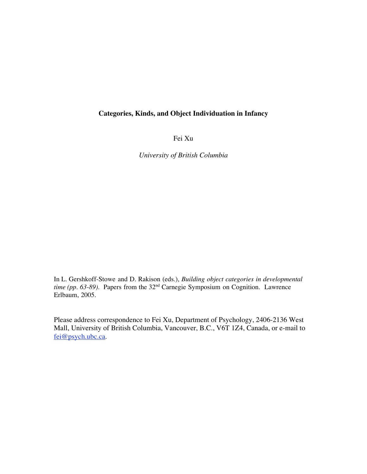# **Categories, Kinds, and Object Individuation in Infancy**

Fei Xu

*University of British Columbia*

In L. Gershkoff-Stowe and D. Rakison (eds.), *Building object categories in developmental time (pp. 63-89).* Papers from the 32<sup>nd</sup> Carnegie Symposium on Cognition. Lawrence Erlbaum, 2005.

Please address correspondence to Fei Xu, Department of Psychology, 2406-2136 West Mall, University of British Columbia, Vancouver, B.C., V6T 1Z4, Canada, or e-mail to fei@psych.ubc.ca.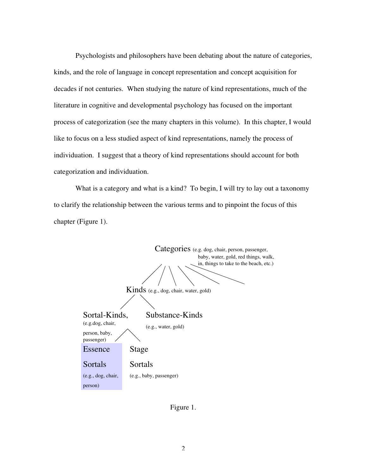Psychologists and philosophers have been debating about the nature of categories, kinds, and the role of language in concept representation and concept acquisition for decades if not centuries. When studying the nature of kind representations, much of the literature in cognitive and developmental psychology has focused on the important process of categorization (see the many chapters in this volume). In this chapter, I would like to focus on a less studied aspect of kind representations, namely the process of individuation. I suggest that a theory of kind representations should account for both categorization and individuation.

What is a category and what is a kind? To begin, I will try to lay out a taxonomy to clarify the relationship between the various terms and to pinpoint the focus of this chapter (Figure 1).

Categories (e.g. dog, chair, person, passenger, baby, water, gold, red things, walk, in, things to take to the beach, etc.) Kinds (e.g., dog, chair, water, gold) Sortal-Kinds, (e.g.dog, chair, person, baby, passenger) Essence **Sortals** (e.g., dog, chair, person) Stage Sortals (e.g., baby, passenger) Substance-Kinds (e.g., water, gold)

#### Figure 1.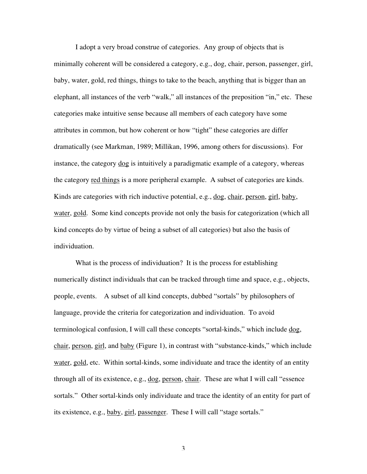I adopt a very broad construe of categories. Any group of objects that is minimally coherent will be considered a category, e.g., dog, chair, person, passenger, girl, baby, water, gold, red things, things to take to the beach, anything that is bigger than an elephant, all instances of the verb "walk," all instances of the preposition "in," etc. These categories make intuitive sense because all members of each category have some attributes in common, but how coherent or how "tight" these categories are differ dramatically (see Markman, 1989; Millikan, 1996, among others for discussions). For instance, the category dog is intuitively a paradigmatic example of a category, whereas the category <u>red things</u> is a more peripheral example. A subset of categories are kinds. Kinds are categories with rich inductive potential, e.g., dog, chair, person, girl, baby, water, gold. Some kind concepts provide not only the basis for categorization (which all kind concepts do by virtue of being a subset of all categories) but also the basis of individuation.

What is the process of individuation? It is the process for establishing numerically distinct individuals that can be tracked through time and space, e.g., objects, people, events. A subset of all kind concepts, dubbed "sortals" by philosophers of language, provide the criteria for categorization and individuation. To avoid terminological confusion, I will call these concepts "sortal-kinds," which include dog, chair, person, girl, and baby (Figure 1), in contrast with "substance-kinds," which include water, gold, etc. Within sortal-kinds, some individuate and trace the identity of an entity through all of its existence, e.g., <u>dog, person, chair</u>. These are what I will call "essence sortals." Other sortal-kinds only individuate and trace the identity of an entity for part of its existence, e.g., baby, girl, passenger. These I will call "stage sortals."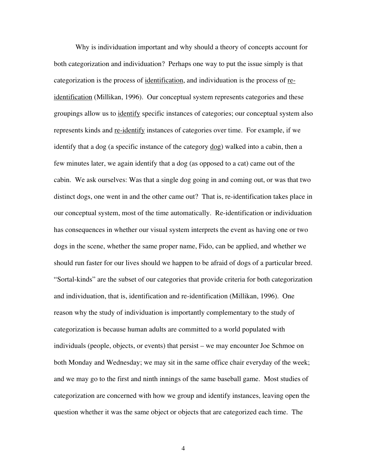Why is individuation important and why should a theory of concepts account for both categorization and individuation? Perhaps one way to put the issue simply is that categorization is the process of identification, and individuation is the process of reidentification (Millikan, 1996). Our conceptual system represents categories and these groupings allow us to <u>identify</u> specific instances of categories; our conceptual system also represents kinds and re-identify instances of categories over time. For example, if we identify that a dog (a specific instance of the category dog) walked into a cabin, then a few minutes later, we again identify that a dog (as opposed to a cat) came out of the cabin. We ask ourselves: Was that a single dog going in and coming out, or was that two distinct dogs, one went in and the other came out? That is, re-identification takes place in our conceptual system, most of the time automatically. Re-identification or individuation has consequences in whether our visual system interprets the event as having one or two dogs in the scene, whether the same proper name, Fido, can be applied, and whether we should run faster for our lives should we happen to be afraid of dogs of a particular breed. "Sortal-kinds" are the subset of our categories that provide criteria for both categorization and individuation, that is, identification and re-identification (Millikan, 1996). One reason why the study of individuation is importantly complementary to the study of categorization is because human adults are committed to a world populated with individuals (people, objects, or events) that persist – we may encounter Joe Schmoe on both Monday and Wednesday; we may sit in the same office chair everyday of the week; and we may go to the first and ninth innings of the same baseball game. Most studies of categorization are concerned with how we group and identify instances, leaving open the question whether it was the same object or objects that are categorized each time. The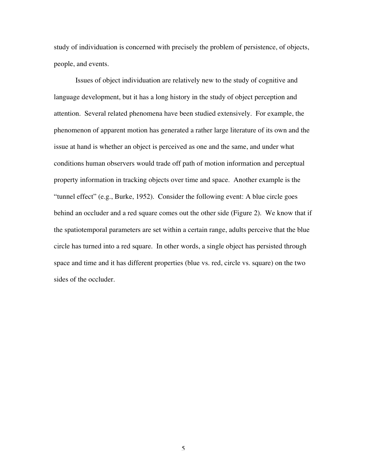study of individuation is concerned with precisely the problem of persistence, of objects, people, and events.

Issues of object individuation are relatively new to the study of cognitive and language development, but it has a long history in the study of object perception and attention. Several related phenomena have been studied extensively. For example, the phenomenon of apparent motion has generated a rather large literature of its own and the issue at hand is whether an object is perceived as one and the same, and under what conditions human observers would trade off path of motion information and perceptual property information in tracking objects over time and space. Another example is the "tunnel effect" (e.g., Burke, 1952). Consider the following event: A blue circle goes behind an occluder and a red square comes out the other side (Figure 2). We know that if the spatiotemporal parameters are set within a certain range, adults perceive that the blue circle has turned into a red square. In other words, a single object has persisted through space and time and it has different properties (blue vs. red, circle vs. square) on the two sides of the occluder.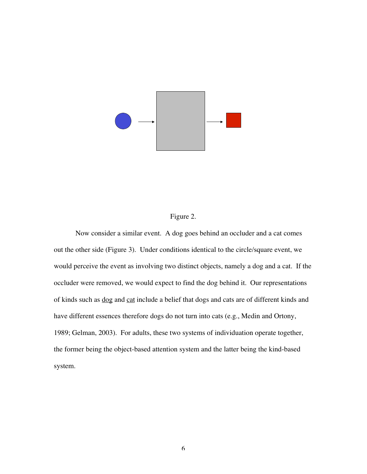

#### Figure 2.

Now consider a similar event. A dog goes behind an occluder and a cat comes out the other side (Figure 3). Under conditions identical to the circle/square event, we would perceive the event as involving two distinct objects, namely a dog and a cat. If the occluder were removed, we would expect to find the dog behind it. Our representations of kinds such as dog and cat include a belief that dogs and cats are of different kinds and have different essences therefore dogs do not turn into cats (e.g., Medin and Ortony, 1989; Gelman, 2003). For adults, these two systems of individuation operate together, the former being the object-based attention system and the latter being the kind-based system.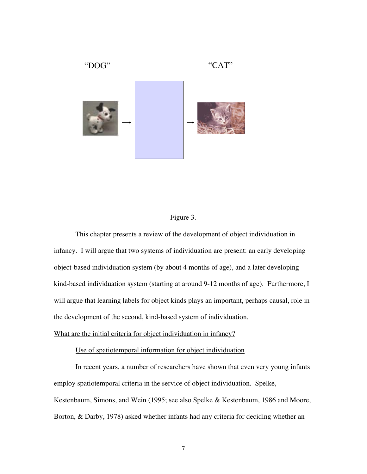

# Figure 3.

This chapter presents a review of the development of object individuation in infancy. I will argue that two systems of individuation are present: an early developing object-based individuation system (by about 4 months of age), and a later developing kind-based individuation system (starting at around 9-12 months of age). Furthermore, I will argue that learning labels for object kinds plays an important, perhaps causal, role in the development of the second, kind-based system of individuation.

What are the initial criteria for object individuation in infancy?

# Use of spatiotemporal information for object individuation

In recent years, a number of researchers have shown that even very young infants employ spatiotemporal criteria in the service of object individuation. Spelke, Kestenbaum, Simons, and Wein (1995; see also Spelke & Kestenbaum, 1986 and Moore, Borton, & Darby, 1978) asked whether infants had any criteria for deciding whether an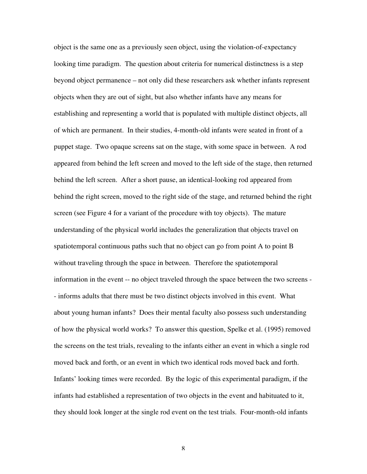object is the same one as a previously seen object, using the violation-of-expectancy looking time paradigm. The question about criteria for numerical distinctness is a step beyond object permanence – not only did these researchers ask whether infants represent objects when they are out of sight, but also whether infants have any means for establishing and representing a world that is populated with multiple distinct objects, all of which are permanent. In their studies, 4-month-old infants were seated in front of a puppet stage. Two opaque screens sat on the stage, with some space in between. A rod appeared from behind the left screen and moved to the left side of the stage, then returned behind the left screen. After a short pause, an identical-looking rod appeared from behind the right screen, moved to the right side of the stage, and returned behind the right screen (see Figure 4 for a variant of the procedure with toy objects). The mature understanding of the physical world includes the generalization that objects travel on spatiotemporal continuous paths such that no object can go from point A to point B without traveling through the space in between. Therefore the spatiotemporal information in the event -- no object traveled through the space between the two screens - - informs adults that there must be two distinct objects involved in this event. What about young human infants? Does their mental faculty also possess such understanding of how the physical world works? To answer this question, Spelke et al. (1995) removed the screens on the test trials, revealing to the infants either an event in which a single rod moved back and forth, or an event in which two identical rods moved back and forth. Infants' looking times were recorded. By the logic of this experimental paradigm, if the infants had established a representation of two objects in the event and habituated to it, they should look longer at the single rod event on the test trials. Four-month-old infants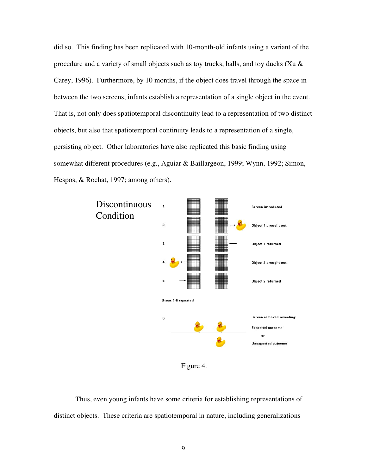did so. This finding has been replicated with 10-month-old infants using a variant of the procedure and a variety of small objects such as toy trucks, balls, and toy ducks (Xu  $\&$ Carey, 1996). Furthermore, by 10 months, if the object does travel through the space in between the two screens, infants establish a representation of a single object in the event. That is, not only does spatiotemporal discontinuity lead to a representation of two distinct objects, but also that spatiotemporal continuity leads to a representation of a single, persisting object. Other laboratories have also replicated this basic finding using somewhat different procedures (e.g., Aguiar & Baillargeon, 1999; Wynn, 1992; Simon, Hespos, & Rochat, 1997; among others).



Figure 4.

Thus, even young infants have some criteria for establishing representations of distinct objects. These criteria are spatiotemporal in nature, including generalizations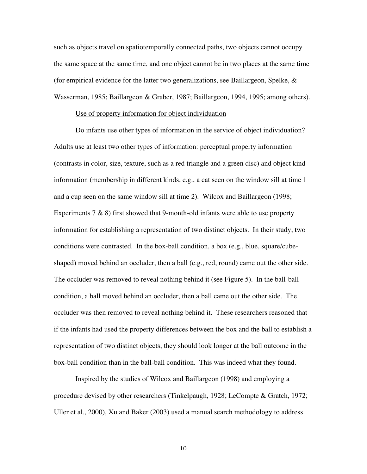such as objects travel on spatiotemporally connected paths, two objects cannot occupy the same space at the same time, and one object cannot be in two places at the same time (for empirical evidence for the latter two generalizations, see Baillargeon, Spelke,  $\&$ Wasserman, 1985; Baillargeon & Graber, 1987; Baillargeon, 1994, 1995; among others).

#### Use of property information for object individuation

Do infants use other types of information in the service of object individuation? Adults use at least two other types of information: perceptual property information (contrasts in color, size, texture, such as a red triangle and a green disc) and object kind information (membership in different kinds, e.g., a cat seen on the window sill at time 1 and a cup seen on the same window sill at time 2). Wilcox and Baillargeon (1998; Experiments  $7 \& 8$ ) first showed that 9-month-old infants were able to use property information for establishing a representation of two distinct objects. In their study, two conditions were contrasted. In the box-ball condition, a box (e.g., blue, square/cubeshaped) moved behind an occluder, then a ball (e.g., red, round) came out the other side. The occluder was removed to reveal nothing behind it (see Figure 5). In the ball-ball condition, a ball moved behind an occluder, then a ball came out the other side. The occluder was then removed to reveal nothing behind it. These researchers reasoned that if the infants had used the property differences between the box and the ball to establish a representation of two distinct objects, they should look longer at the ball outcome in the box-ball condition than in the ball-ball condition. This was indeed what they found.

Inspired by the studies of Wilcox and Baillargeon (1998) and employing a procedure devised by other researchers (Tinkelpaugh, 1928; LeCompte & Gratch, 1972; Uller et al., 2000), Xu and Baker (2003) used a manual search methodology to address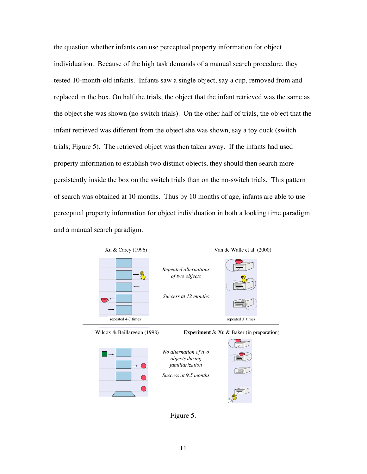the question whether infants can use perceptual property information for object individuation. Because of the high task demands of a manual search procedure, they tested 10-month-old infants. Infants saw a single object, say a cup, removed from and replaced in the box. On half the trials, the object that the infant retrieved was the same as the object she was shown (no-switch trials). On the other half of trials, the object that the infant retrieved was different from the object she was shown, say a toy duck (switch trials; Figure 5). The retrieved object was then taken away. If the infants had used property information to establish two distinct objects, they should then search more persistently inside the box on the switch trials than on the no-switch trials. This pattern of search was obtained at 10 months. Thus by 10 months of age, infants are able to use perceptual property information for object individuation in both a looking time paradigm and a manual search paradigm.



Figure 5.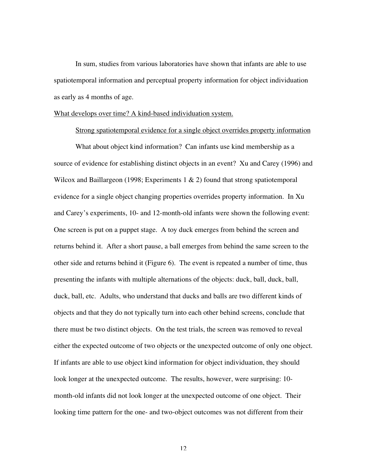In sum, studies from various laboratories have shown that infants are able to use spatiotemporal information and perceptual property information for object individuation as early as 4 months of age.

#### What develops over time? A kind-based individuation system.

Strong spatiotemporal evidence for a single object overrides property information

What about object kind information? Can infants use kind membership as a source of evidence for establishing distinct objects in an event? Xu and Carey (1996) and Wilcox and Baillargeon (1998; Experiments 1  $\&$  2) found that strong spatiotemporal evidence for a single object changing properties overrides property information. In Xu and Carey's experiments, 10- and 12-month-old infants were shown the following event: One screen is put on a puppet stage. A toy duck emerges from behind the screen and returns behind it. After a short pause, a ball emerges from behind the same screen to the other side and returns behind it (Figure 6). The event is repeated a number of time, thus presenting the infants with multiple alternations of the objects: duck, ball, duck, ball, duck, ball, etc. Adults, who understand that ducks and balls are two different kinds of objects and that they do not typically turn into each other behind screens, conclude that there must be two distinct objects. On the test trials, the screen was removed to reveal either the expected outcome of two objects or the unexpected outcome of only one object. If infants are able to use object kind information for object individuation, they should look longer at the unexpected outcome. The results, however, were surprising: 10 month-old infants did not look longer at the unexpected outcome of one object. Their looking time pattern for the one- and two-object outcomes was not different from their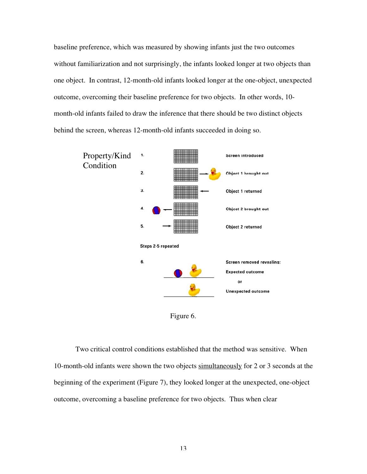baseline preference, which was measured by showing infants just the two outcomes without familiarization and not surprisingly, the infants looked longer at two objects than one object. In contrast, 12-month-old infants looked longer at the one-object, unexpected outcome, overcoming their baseline preference for two objects. In other words, 10 month-old infants failed to draw the inference that there should be two distinct objects behind the screen, whereas 12-month-old infants succeeded in doing so.



Figure 6.

Two critical control conditions established that the method was sensitive. When 10-month-old infants were shown the two objects simultaneously for 2 or 3 seconds at the beginning of the experiment (Figure 7), they looked longer at the unexpected, one-object outcome, overcoming a baseline preference for two objects. Thus when clear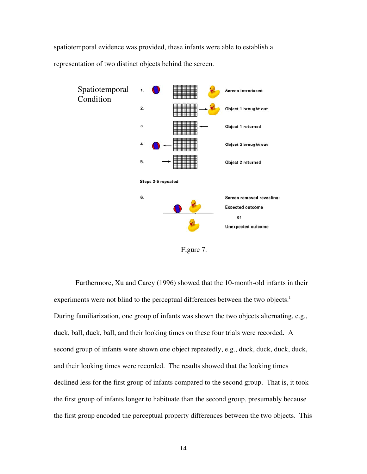spatiotemporal evidence was provided, these infants were able to establish a representation of two distinct objects behind the screen.



Figure 7.

Furthermore, Xu and Carey (1996) showed that the 10-month-old infants in their experiments were not blind to the perceptual differences between the two objects.<sup>1</sup> During familiarization, one group of infants was shown the two objects alternating, e.g., duck, ball, duck, ball, and their looking times on these four trials were recorded. A second group of infants were shown one object repeatedly, e.g., duck, duck, duck, duck, and their looking times were recorded. The results showed that the looking times declined less for the first group of infants compared to the second group. That is, it took the first group of infants longer to habituate than the second group, presumably because the first group encoded the perceptual property differences between the two objects. This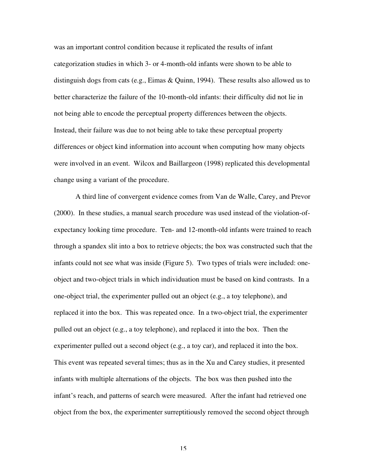was an important control condition because it replicated the results of infant categorization studies in which 3- or 4-month-old infants were shown to be able to distinguish dogs from cats (e.g., Eimas & Quinn, 1994). These results also allowed us to better characterize the failure of the 10-month-old infants: their difficulty did not lie in not being able to encode the perceptual property differences between the objects. Instead, their failure was due to not being able to take these perceptual property differences or object kind information into account when computing how many objects were involved in an event. Wilcox and Baillargeon (1998) replicated this developmental change using a variant of the procedure.

A third line of convergent evidence comes from Van de Walle, Carey, and Prevor (2000). In these studies, a manual search procedure was used instead of the violation-ofexpectancy looking time procedure. Ten- and 12-month-old infants were trained to reach through a spandex slit into a box to retrieve objects; the box was constructed such that the infants could not see what was inside (Figure 5). Two types of trials were included: oneobject and two-object trials in which individuation must be based on kind contrasts. In a one-object trial, the experimenter pulled out an object (e.g., a toy telephone), and replaced it into the box. This was repeated once. In a two-object trial, the experimenter pulled out an object (e.g., a toy telephone), and replaced it into the box. Then the experimenter pulled out a second object (e.g., a toy car), and replaced it into the box. This event was repeated several times; thus as in the Xu and Carey studies, it presented infants with multiple alternations of the objects. The box was then pushed into the infant's reach, and patterns of search were measured. After the infant had retrieved one object from the box, the experimenter surreptitiously removed the second object through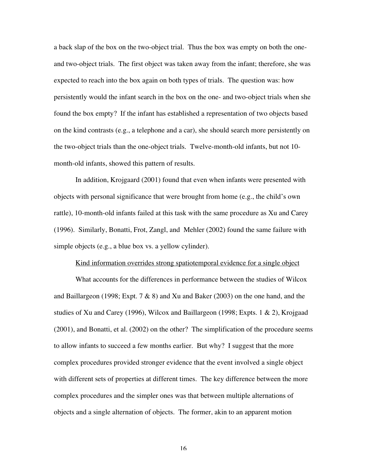a back slap of the box on the two-object trial. Thus the box was empty on both the oneand two-object trials. The first object was taken away from the infant; therefore, she was expected to reach into the box again on both types of trials. The question was: how persistently would the infant search in the box on the one- and two-object trials when she found the box empty? If the infant has established a representation of two objects based on the kind contrasts (e.g., a telephone and a car), she should search more persistently on the two-object trials than the one-object trials. Twelve-month-old infants, but not 10 month-old infants, showed this pattern of results.

In addition, Krojgaard (2001) found that even when infants were presented with objects with personal significance that were brought from home (e.g., the child's own rattle), 10-month-old infants failed at this task with the same procedure as Xu and Carey (1996). Similarly, Bonatti, Frot, Zangl, and Mehler (2002) found the same failure with simple objects (e.g., a blue box vs. a yellow cylinder).

## Kind information overrides strong spatiotemporal evidence for a single object

What accounts for the differences in performance between the studies of Wilcox and Baillargeon (1998; Expt. 7 & 8) and Xu and Baker (2003) on the one hand, and the studies of Xu and Carey (1996), Wilcox and Baillargeon (1998; Expts. 1 & 2), Krojgaad (2001), and Bonatti, et al. (2002) on the other? The simplification of the procedure seems to allow infants to succeed a few months earlier. But why? I suggest that the more complex procedures provided stronger evidence that the event involved a single object with different sets of properties at different times. The key difference between the more complex procedures and the simpler ones was that between multiple alternations of objects and a single alternation of objects. The former, akin to an apparent motion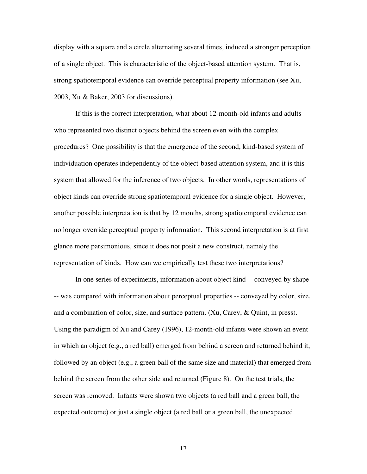display with a square and a circle alternating several times, induced a stronger perception of a single object. This is characteristic of the object-based attention system. That is, strong spatiotemporal evidence can override perceptual property information (see Xu, 2003, Xu & Baker, 2003 for discussions).

If this is the correct interpretation, what about 12-month-old infants and adults who represented two distinct objects behind the screen even with the complex procedures? One possibility is that the emergence of the second, kind-based system of individuation operates independently of the object-based attention system, and it is this system that allowed for the inference of two objects. In other words, representations of object kinds can override strong spatiotemporal evidence for a single object. However, another possible interpretation is that by 12 months, strong spatiotemporal evidence can no longer override perceptual property information. This second interpretation is at first glance more parsimonious, since it does not posit a new construct, namely the representation of kinds. How can we empirically test these two interpretations?

In one series of experiments, information about object kind -- conveyed by shape -- was compared with information about perceptual properties -- conveyed by color, size, and a combination of color, size, and surface pattern. (Xu, Carey, & Quint, in press). Using the paradigm of Xu and Carey (1996), 12-month-old infants were shown an event in which an object (e.g., a red ball) emerged from behind a screen and returned behind it, followed by an object (e.g., a green ball of the same size and material) that emerged from behind the screen from the other side and returned (Figure 8). On the test trials, the screen was removed. Infants were shown two objects (a red ball and a green ball, the expected outcome) or just a single object (a red ball or a green ball, the unexpected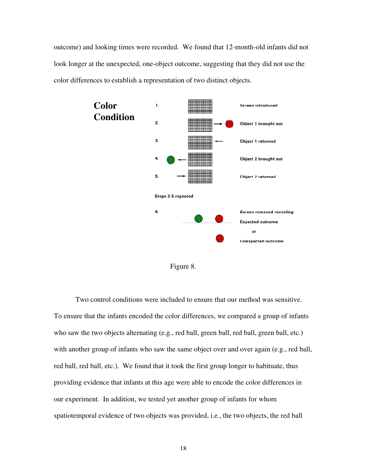outcome) and looking times were recorded. We found that 12-month-old infants did not look longer at the unexpected, one-object outcome, suggesting that they did not use the color differences to establish a representation of two distinct objects.





Two control conditions were included to ensure that our method was sensitive. To ensure that the infants encoded the color differences, we compared a group of infants who saw the two objects alternating (e.g., red ball, green ball, red ball, green ball, etc.) with another group of infants who saw the same object over and over again (e.g., red ball, red ball, red ball, etc.). We found that it took the first group longer to habituate, thus providing evidence that infants at this age were able to encode the color differences in our experiment. In addition, we tested yet another group of infants for whom spatiotemporal evidence of two objects was provided, i.e., the two objects, the red ball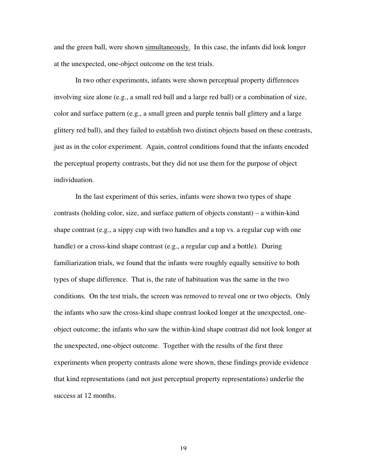and the green ball, were shown simultaneously. In this case, the infants did look longer at the unexpected, one-object outcome on the test trials.

In two other experiments, infants were shown perceptual property differences involving size alone (e.g., a small red ball and a large red ball) or a combination of size, color and surface pattern (e.g., a small green and purple tennis ball glittery and a large glittery red ball), and they failed to establish two distinct objects based on these contrasts, just as in the color experiment. Again, control conditions found that the infants encoded the perceptual property contrasts, but they did not use them for the purpose of object individuation.

In the last experiment of this series, infants were shown two types of shape contrasts (holding color, size, and surface pattern of objects constant) – a within-kind shape contrast (e.g., a sippy cup with two handles and a top vs. a regular cup with one handle) or a cross-kind shape contrast (e.g., a regular cup and a bottle). During familiarization trials, we found that the infants were roughly equally sensitive to both types of shape difference. That is, the rate of habituation was the same in the two conditions. On the test trials, the screen was removed to reveal one or two objects. Only the infants who saw the cross-kind shape contrast looked longer at the unexpected, oneobject outcome; the infants who saw the within-kind shape contrast did not look longer at the unexpected, one-object outcome. Together with the results of the first three experiments when property contrasts alone were shown, these findings provide evidence that kind representations (and not just perceptual property representations) underlie the success at 12 months.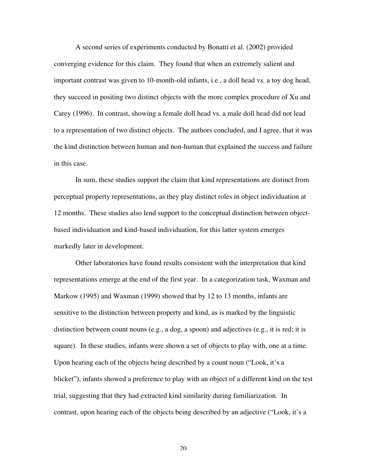A second series of experiments conducted by Bonatti et al. (2002) provided converging evidence for this claim. They found that when an extremely salient and important contrast was given to 10-month-old infants, i.e., a doll head vs. a toy dog head, they succeed in positing two distinct objects with the more complex procedure of Xu and Carey (1996). In contrast, showing a female doll head vs. a male doll head did not lead to a representation of two distinct objects. The authors concluded, and I agree, that it was the kind distinction between human and non-human that explained the success and failure in this case.

In sum, these studies support the claim that kind representations are distinct from perceptual property representations, as they play distinct roles in object individuation at 12 months. These studies also lend support to the conceptual distinction between objectbased individuation and kind-based individuation, for this latter system emerges markedly later in development.

Other laboratories have found results consistent with the interpretation that kind representations emerge at the end of the first year. In a categorization task, Waxman and Markow (1995) and Waxman (1999) showed that by 12 to 13 months, infants are sensitive to the distinction between property and kind, as is marked by the linguistic distinction between count nouns (e.g., a dog, a spoon) and adjectives (e.g., it is red; it is square). In these studies, infants were shown a set of objects to play with, one at a time. Upon hearing each of the objects being described by a count noun ("Look, it's a blicket"), infants showed a preference to play with an object of a different kind on the test trial, suggesting that they had extracted kind similarity during familiarization. In contrast, upon hearing each of the objects being described by an adjective ("Look, it's a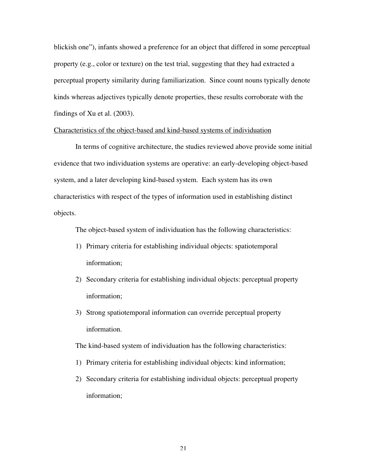blickish one"), infants showed a preference for an object that differed in some perceptual property (e.g., color or texture) on the test trial, suggesting that they had extracted a perceptual property similarity during familiarization. Since count nouns typically denote kinds whereas adjectives typically denote properties, these results corroborate with the findings of Xu et al. (2003).

#### Characteristics of the object-based and kind-based systems of individuation

In terms of cognitive architecture, the studies reviewed above provide some initial evidence that two individuation systems are operative: an early-developing object-based system, and a later developing kind-based system. Each system has its own characteristics with respect of the types of information used in establishing distinct objects.

The object-based system of individuation has the following characteristics:

- 1) Primary criteria for establishing individual objects: spatiotemporal information;
- 2) Secondary criteria for establishing individual objects: perceptual property information;
- 3) Strong spatiotemporal information can override perceptual property information.

The kind-based system of individuation has the following characteristics:

- 1) Primary criteria for establishing individual objects: kind information;
- 2) Secondary criteria for establishing individual objects: perceptual property information;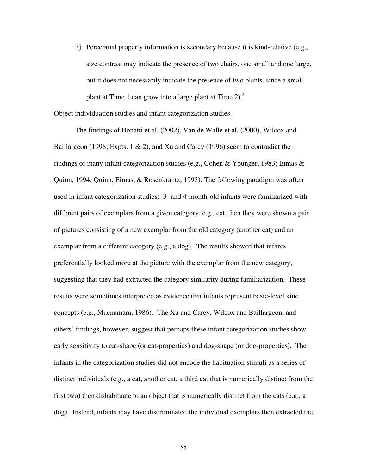3) Perceptual property information is secondary because it is kind-relative (e.g., size contrast may indicate the presence of two chairs, one small and one large, but it does not necessarily indicate the presence of two plants, since a small plant at Time 1 can grow into a large plant at Time  $2<sup>2</sup>$ .

#### Object individuation studies and infant categorization studies.

The findings of Bonatti et al. (2002), Van de Walle et al. (2000), Wilcox and Baillargeon (1998; Expts. 1 & 2), and Xu and Carey (1996) seem to contradict the findings of many infant categorization studies (e.g., Cohen & Younger, 1983; Eimas & Quinn, 1994; Quinn, Eimas, & Rosenkrantz, 1993). The following paradigm was often used in infant categorization studies: 3- and 4-month-old infants were familiarized with different pairs of exemplars from a given category, e.g., cat, then they were shown a pair of pictures consisting of a new exemplar from the old category (another cat) and an exemplar from a different category (e.g., a dog). The results showed that infants preferentially looked more at the picture with the exemplar from the new category, suggesting that they had extracted the category similarity during familiarization. These results were sometimes interpreted as evidence that infants represent basic-level kind concepts (e.g., Macnamara, 1986). The Xu and Carey, Wilcox and Baillargeon, and others' findings, however, suggest that perhaps these infant categorization studies show early sensitivity to cat-shape (or cat-properties) and dog-shape (or dog-properties). The infants in the categorization studies did not encode the habituation stimuli as a series of distinct individuals (e.g., a cat, another cat, a third cat that is numerically distinct from the first two) then dishabituate to an object that is numerically distinct from the cats (e.g., a dog). Instead, infants may have discriminated the individual exemplars then extracted the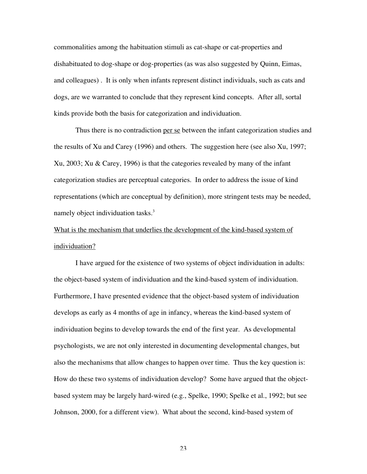commonalities among the habituation stimuli as cat-shape or cat-properties and dishabituated to dog-shape or dog-properties (as was also suggested by Quinn, Eimas, and colleagues) . It is only when infants represent distinct individuals, such as cats and dogs, are we warranted to conclude that they represent kind concepts. After all, sortal kinds provide both the basis for categorization and individuation.

Thus there is no contradiction per se between the infant categorization studies and the results of Xu and Carey (1996) and others. The suggestion here (see also Xu, 1997; Xu, 2003; Xu & Carey, 1996) is that the categories revealed by many of the infant categorization studies are perceptual categories. In order to address the issue of kind representations (which are conceptual by definition), more stringent tests may be needed, namely object individuation tasks.<sup>3</sup>

# What is the mechanism that underlies the development of the kind-based system of individuation?

I have argued for the existence of two systems of object individuation in adults: the object-based system of individuation and the kind-based system of individuation. Furthermore, I have presented evidence that the object-based system of individuation develops as early as 4 months of age in infancy, whereas the kind-based system of individuation begins to develop towards the end of the first year. As developmental psychologists, we are not only interested in documenting developmental changes, but also the mechanisms that allow changes to happen over time. Thus the key question is: How do these two systems of individuation develop? Some have argued that the objectbased system may be largely hard-wired (e.g., Spelke, 1990; Spelke et al., 1992; but see Johnson, 2000, for a different view). What about the second, kind-based system of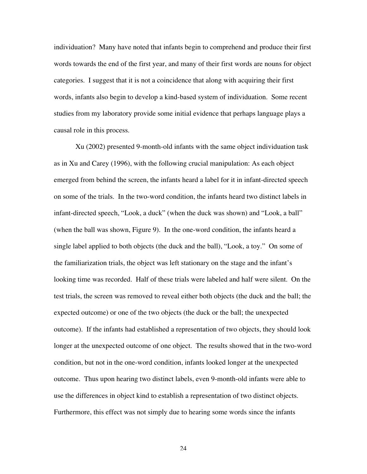individuation? Many have noted that infants begin to comprehend and produce their first words towards the end of the first year, and many of their first words are nouns for object categories. I suggest that it is not a coincidence that along with acquiring their first words, infants also begin to develop a kind-based system of individuation. Some recent studies from my laboratory provide some initial evidence that perhaps language plays a causal role in this process.

Xu (2002) presented 9-month-old infants with the same object individuation task as in Xu and Carey (1996), with the following crucial manipulation: As each object emerged from behind the screen, the infants heard a label for it in infant-directed speech on some of the trials. In the two-word condition, the infants heard two distinct labels in infant-directed speech, "Look, a duck" (when the duck was shown) and "Look, a ball" (when the ball was shown, Figure 9). In the one-word condition, the infants heard a single label applied to both objects (the duck and the ball), "Look, a toy." On some of the familiarization trials, the object was left stationary on the stage and the infant's looking time was recorded. Half of these trials were labeled and half were silent. On the test trials, the screen was removed to reveal either both objects (the duck and the ball; the expected outcome) or one of the two objects (the duck or the ball; the unexpected outcome). If the infants had established a representation of two objects, they should look longer at the unexpected outcome of one object. The results showed that in the two-word condition, but not in the one-word condition, infants looked longer at the unexpected outcome. Thus upon hearing two distinct labels, even 9-month-old infants were able to use the differences in object kind to establish a representation of two distinct objects. Furthermore, this effect was not simply due to hearing some words since the infants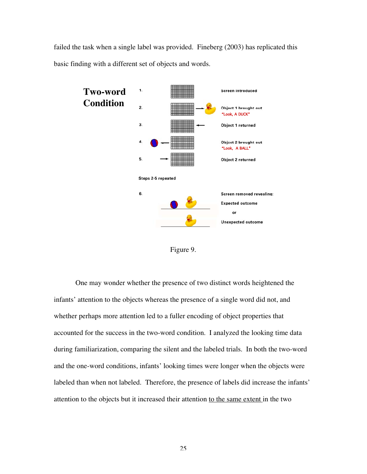failed the task when a single label was provided. Fineberg (2003) has replicated this basic finding with a different set of objects and words.



Figure 9.

One may wonder whether the presence of two distinct words heightened the infants' attention to the objects whereas the presence of a single word did not, and whether perhaps more attention led to a fuller encoding of object properties that accounted for the success in the two-word condition. I analyzed the looking time data during familiarization, comparing the silent and the labeled trials. In both the two-word and the one-word conditions, infants' looking times were longer when the objects were labeled than when not labeled. Therefore, the presence of labels did increase the infants' attention to the objects but it increased their attention to the same extent in the two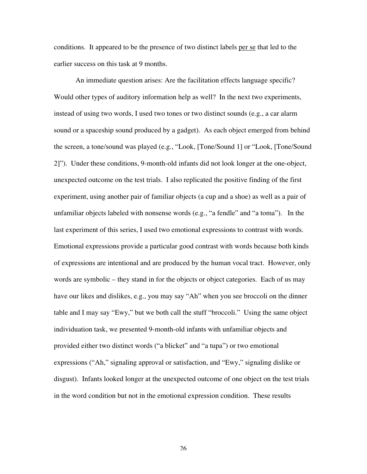conditions. It appeared to be the presence of two distinct labels per se that led to the earlier success on this task at 9 months.

An immediate question arises: Are the facilitation effects language specific? Would other types of auditory information help as well? In the next two experiments, instead of using two words, I used two tones or two distinct sounds (e.g., a car alarm sound or a spaceship sound produced by a gadget). As each object emerged from behind the screen, a tone/sound was played (e.g., "Look, [Tone/Sound 1] or "Look, [Tone/Sound 2]"). Under these conditions, 9-month-old infants did not look longer at the one-object, unexpected outcome on the test trials. I also replicated the positive finding of the first experiment, using another pair of familiar objects (a cup and a shoe) as well as a pair of unfamiliar objects labeled with nonsense words (e.g., "a fendle" and "a toma"). In the last experiment of this series, I used two emotional expressions to contrast with words. Emotional expressions provide a particular good contrast with words because both kinds of expressions are intentional and are produced by the human vocal tract. However, only words are symbolic – they stand in for the objects or object categories. Each of us may have our likes and dislikes, e.g., you may say "Ah" when you see broccoli on the dinner table and I may say "Ewy," but we both call the stuff "broccoli." Using the same object individuation task, we presented 9-month-old infants with unfamiliar objects and provided either two distinct words ("a blicket" and "a tupa") or two emotional expressions ("Ah," signaling approval or satisfaction, and "Ewy," signaling dislike or disgust). Infants looked longer at the unexpected outcome of one object on the test trials in the word condition but not in the emotional expression condition. These results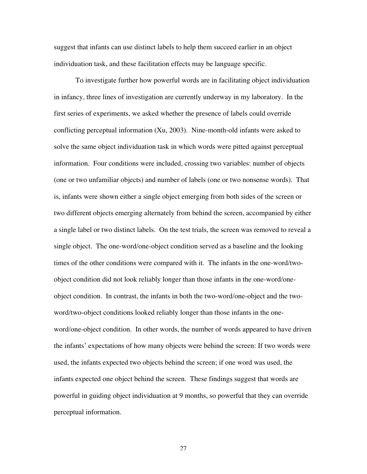suggest that infants can use distinct labels to help them succeed earlier in an object individuation task, and these facilitation effects may be language specific.

To investigate further how powerful words are in facilitating object individuation in infancy, three lines of investigation are currently underway in my laboratory. In the first series of experiments, we asked whether the presence of labels could override conflicting perceptual information (Xu, 2003). Nine-month-old infants were asked to solve the same object individuation task in which words were pitted against perceptual information. Four conditions were included, crossing two variables: number of objects (one or two unfamiliar objects) and number of labels (one or two nonsense words). That is, infants were shown either a single object emerging from both sides of the screen or two different objects emerging alternately from behind the screen, accompanied by either a single label or two distinct labels. On the test trials, the screen was removed to reveal a single object. The one-word/one-object condition served as a baseline and the looking times of the other conditions were compared with it. The infants in the one-word/twoobject condition did not look reliably longer than those infants in the one-word/oneobject condition. In contrast, the infants in both the two-word/one-object and the twoword/two-object conditions looked reliably longer than those infants in the oneword/one-object condition. In other words, the number of words appeared to have driven the infants' expectations of how many objects were behind the screen: If two words were used, the infants expected two objects behind the screen; if one word was used, the infants expected one object behind the screen. These findings suggest that words are powerful in guiding object individuation at 9 months, so powerful that they can override perceptual information.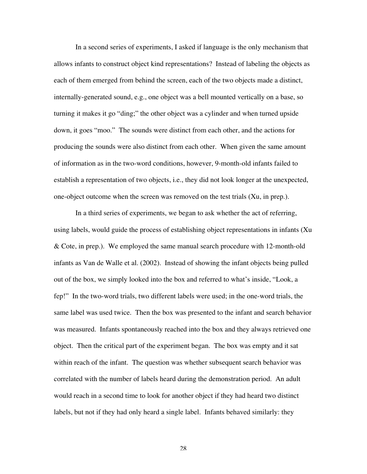In a second series of experiments, I asked if language is the only mechanism that allows infants to construct object kind representations? Instead of labeling the objects as each of them emerged from behind the screen, each of the two objects made a distinct, internally-generated sound, e.g., one object was a bell mounted vertically on a base, so turning it makes it go "ding;" the other object was a cylinder and when turned upside down, it goes "moo." The sounds were distinct from each other, and the actions for producing the sounds were also distinct from each other. When given the same amount of information as in the two-word conditions, however, 9-month-old infants failed to establish a representation of two objects, i.e., they did not look longer at the unexpected, one-object outcome when the screen was removed on the test trials (Xu, in prep.).

In a third series of experiments, we began to ask whether the act of referring, using labels, would guide the process of establishing object representations in infants (Xu & Cote, in prep.). We employed the same manual search procedure with 12-month-old infants as Van de Walle et al. (2002). Instead of showing the infant objects being pulled out of the box, we simply looked into the box and referred to what's inside, "Look, a fep!" In the two-word trials, two different labels were used; in the one-word trials, the same label was used twice. Then the box was presented to the infant and search behavior was measured. Infants spontaneously reached into the box and they always retrieved one object. Then the critical part of the experiment began. The box was empty and it sat within reach of the infant. The question was whether subsequent search behavior was correlated with the number of labels heard during the demonstration period. An adult would reach in a second time to look for another object if they had heard two distinct labels, but not if they had only heard a single label. Infants behaved similarly: they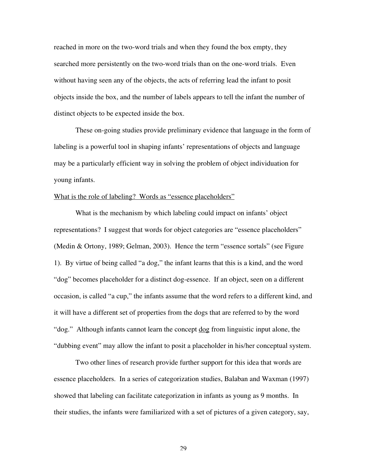reached in more on the two-word trials and when they found the box empty, they searched more persistently on the two-word trials than on the one-word trials. Even without having seen any of the objects, the acts of referring lead the infant to posit objects inside the box, and the number of labels appears to tell the infant the number of distinct objects to be expected inside the box.

These on-going studies provide preliminary evidence that language in the form of labeling is a powerful tool in shaping infants' representations of objects and language may be a particularly efficient way in solving the problem of object individuation for young infants.

## What is the role of labeling? Words as "essence placeholders"

What is the mechanism by which labeling could impact on infants' object representations? I suggest that words for object categories are "essence placeholders" (Medin & Ortony, 1989; Gelman, 2003). Hence the term "essence sortals" (see Figure 1). By virtue of being called "a dog," the infant learns that this is a kind, and the word "dog" becomes placeholder for a distinct dog-essence. If an object, seen on a different occasion, is called "a cup," the infants assume that the word refers to a different kind, and it will have a different set of properties from the dogs that are referred to by the word "dog." Although infants cannot learn the concept dog from linguistic input alone, the "dubbing event" may allow the infant to posit a placeholder in his/her conceptual system.

Two other lines of research provide further support for this idea that words are essence placeholders. In a series of categorization studies, Balaban and Waxman (1997) showed that labeling can facilitate categorization in infants as young as 9 months. In their studies, the infants were familiarized with a set of pictures of a given category, say,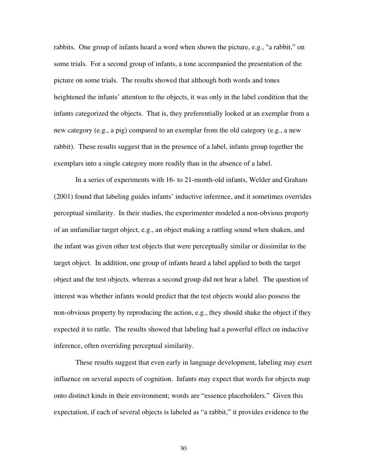rabbits. One group of infants heard a word when shown the picture, e.g., "a rabbit," on some trials. For a second group of infants, a tone accompanied the presentation of the picture on some trials. The results showed that although both words and tones heightened the infants' attention to the objects, it was only in the label condition that the infants categorized the objects. That is, they preferentially looked at an exemplar from a new category (e.g., a pig) compared to an exemplar from the old category (e.g., a new rabbit). These results suggest that in the presence of a label, infants group together the exemplars into a single category more readily than in the absence of a label.

In a series of experiments with 16- to 21-month-old infants, Welder and Graham (2001) found that labeling guides infants' inductive inference, and it sometimes overrides perceptual similarity. In their studies, the experimenter modeled a non-obvious property of an unfamiliar target object, e.g., an object making a rattling sound when shaken, and the infant was given other test objects that were perceptually similar or dissimilar to the target object. In addition, one group of infants heard a label applied to both the target object and the test objects, whereas a second group did not hear a label. The question of interest was whether infants would predict that the test objects would also possess the non-obvious property by reproducing the action, e.g., they should shake the object if they expected it to rattle. The results showed that labeling had a powerful effect on inductive inference, often overriding perceptual similarity.

These results suggest that even early in language development, labeling may exert influence on several aspects of cognition. Infants may expect that words for objects map onto distinct kinds in their environment; words are "essence placeholders." Given this expectation, if each of several objects is labeled as "a rabbit," it provides evidence to the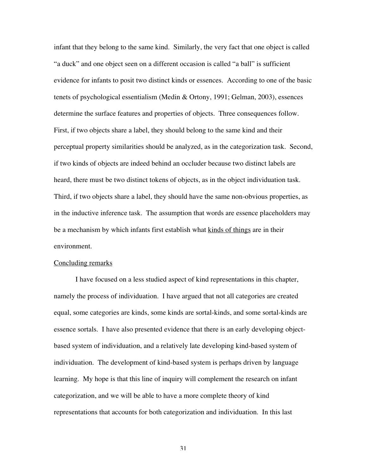infant that they belong to the same kind. Similarly, the very fact that one object is called "a duck" and one object seen on a different occasion is called "a ball" is sufficient evidence for infants to posit two distinct kinds or essences. According to one of the basic tenets of psychological essentialism (Medin & Ortony, 1991; Gelman, 2003), essences determine the surface features and properties of objects. Three consequences follow. First, if two objects share a label, they should belong to the same kind and their perceptual property similarities should be analyzed, as in the categorization task. Second, if two kinds of objects are indeed behind an occluder because two distinct labels are heard, there must be two distinct tokens of objects, as in the object individuation task. Third, if two objects share a label, they should have the same non-obvious properties, as in the inductive inference task. The assumption that words are essence placeholders may be a mechanism by which infants first establish what kinds of things are in their environment.

# Concluding remarks

I have focused on a less studied aspect of kind representations in this chapter, namely the process of individuation. I have argued that not all categories are created equal, some categories are kinds, some kinds are sortal-kinds, and some sortal-kinds are essence sortals. I have also presented evidence that there is an early developing objectbased system of individuation, and a relatively late developing kind-based system of individuation. The development of kind-based system is perhaps driven by language learning. My hope is that this line of inquiry will complement the research on infant categorization, and we will be able to have a more complete theory of kind representations that accounts for both categorization and individuation. In this last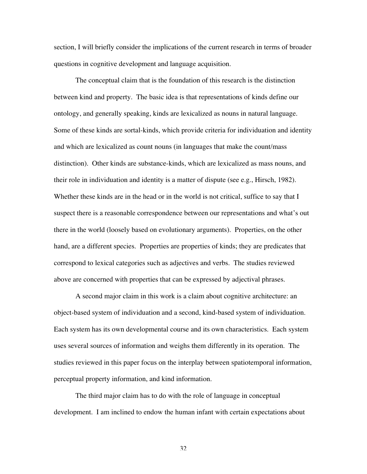section, I will briefly consider the implications of the current research in terms of broader questions in cognitive development and language acquisition.

The conceptual claim that is the foundation of this research is the distinction between kind and property. The basic idea is that representations of kinds define our ontology, and generally speaking, kinds are lexicalized as nouns in natural language. Some of these kinds are sortal-kinds, which provide criteria for individuation and identity and which are lexicalized as count nouns (in languages that make the count/mass distinction). Other kinds are substance-kinds, which are lexicalized as mass nouns, and their role in individuation and identity is a matter of dispute (see e.g., Hirsch, 1982). Whether these kinds are in the head or in the world is not critical, suffice to say that I suspect there is a reasonable correspondence between our representations and what's out there in the world (loosely based on evolutionary arguments). Properties, on the other hand, are a different species. Properties are properties of kinds; they are predicates that correspond to lexical categories such as adjectives and verbs. The studies reviewed above are concerned with properties that can be expressed by adjectival phrases.

A second major claim in this work is a claim about cognitive architecture: an object-based system of individuation and a second, kind-based system of individuation. Each system has its own developmental course and its own characteristics. Each system uses several sources of information and weighs them differently in its operation. The studies reviewed in this paper focus on the interplay between spatiotemporal information, perceptual property information, and kind information.

The third major claim has to do with the role of language in conceptual development. I am inclined to endow the human infant with certain expectations about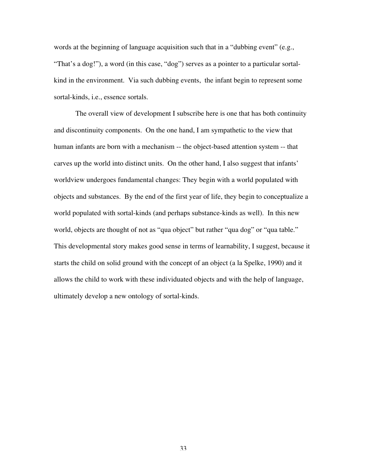words at the beginning of language acquisition such that in a "dubbing event" (e.g., "That's a dog!"), a word (in this case, "dog") serves as a pointer to a particular sortalkind in the environment. Via such dubbing events, the infant begin to represent some sortal-kinds, i.e., essence sortals.

The overall view of development I subscribe here is one that has both continuity and discontinuity components. On the one hand, I am sympathetic to the view that human infants are born with a mechanism -- the object-based attention system -- that carves up the world into distinct units. On the other hand, I also suggest that infants' worldview undergoes fundamental changes: They begin with a world populated with objects and substances. By the end of the first year of life, they begin to conceptualize a world populated with sortal-kinds (and perhaps substance-kinds as well). In this new world, objects are thought of not as "qua object" but rather "qua dog" or "qua table." This developmental story makes good sense in terms of learnability, I suggest, because it starts the child on solid ground with the concept of an object (a la Spelke, 1990) and it allows the child to work with these individuated objects and with the help of language, ultimately develop a new ontology of sortal-kinds.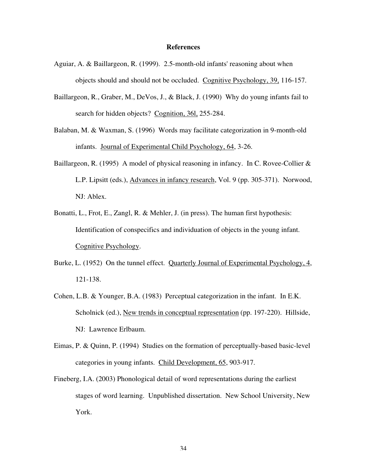#### **References**

- Aguiar, A. & Baillargeon, R. (1999). 2.5-month-old infants' reasoning about when objects should and should not be occluded. Cognitive Psychology, 39, 116-157.
- Baillargeon, R., Graber, M., DeVos, J., & Black, J. (1990) Why do young infants fail to search for hidden objects? Cognition, 361, 255-284.
- Balaban, M. & Waxman, S. (1996) Words may facilitate categorization in 9-month-old infants. Journal of Experimental Child Psychology, 64, 3-26.
- Baillargeon, R. (1995) A model of physical reasoning in infancy. In C. Rovee-Collier & L.P. Lipsitt (eds.), Advances in infancy research, Vol. 9 (pp. 305-371). Norwood, NJ: Ablex.
- Bonatti, L., Frot, E., Zangl, R. & Mehler, J. (in press). The human first hypothesis: Identification of conspecifics and individuation of objects in the young infant. Cognitive Psychology*.*
- Burke, L. (1952) On the tunnel effect. Quarterly Journal of Experimental Psychology, 4, 121-138.
- Cohen, L.B. & Younger, B.A. (1983) Perceptual categorization in the infant. In E.K. Scholnick (ed.), New trends in conceptual representation (pp. 197-220). Hillside, NJ: Lawrence Erlbaum.
- Eimas, P. & Quinn, P. (1994) Studies on the formation of perceptually-based basic-level categories in young infants. Child Development, 65, 903-917.
- Fineberg, I.A. (2003) Phonological detail of word representations during the earliest stages of word learning. Unpublished dissertation. New School University, New York.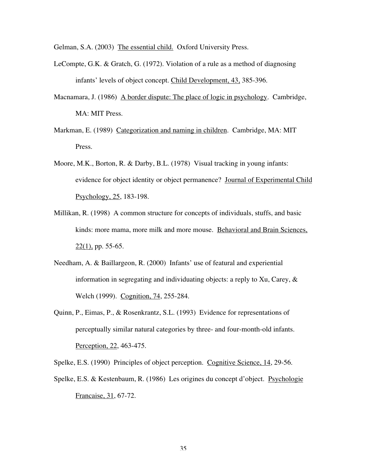Gelman, S.A. (2003) The essential child. Oxford University Press.

- LeCompte, G.K. & Gratch, G. (1972). Violation of a rule as a method of diagnosing infants' levels of object concept. Child Development, 43, 385-396.
- Macnamara, J. (1986) A border dispute: The place of logic in psychology. Cambridge, MA: MIT Press.
- Markman, E. (1989) Categorization and naming in children. Cambridge, MA: MIT Press.
- Moore, M.K., Borton, R. & Darby, B.L. (1978) Visual tracking in young infants: evidence for object identity or object permanence? Journal of Experimental Child Psychology, 25, 183-198.
- Millikan, R. (1998) A common structure for concepts of individuals, stuffs, and basic kinds: more mama, more milk and more mouse. Behavioral and Brain Sciences,  $22(1)$ , pp. 55-65.
- Needham, A. & Baillargeon, R. (2000) Infants' use of featural and experiential information in segregating and individuating objects: a reply to Xu, Carey, & Welch (1999). Cognition, 74, 255-284.
- Quinn, P., Eimas, P., & Rosenkrantz, S.L. (1993) Evidence for representations of perceptually similar natural categories by three- and four-month-old infants. Perception, 22, 463-475.

Spelke, E.S. (1990) Principles of object perception. Cognitive Science, 14, 29-56.

Spelke, E.S. & Kestenbaum, R. (1986) Les origines du concept d'object. Psychologie Francaise, 31, 67-72.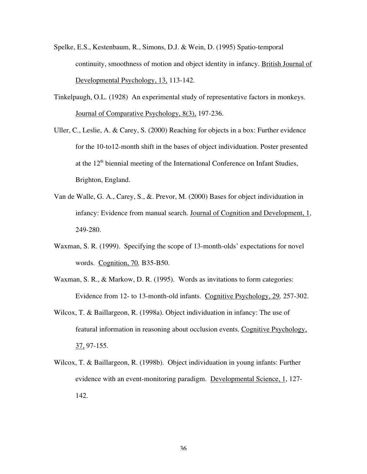- Spelke, E.S., Kestenbaum, R., Simons, D.J. & Wein, D. (1995) Spatio-temporal continuity, smoothness of motion and object identity in infancy. British Journal of Developmental Psychology, 13, 113-142.
- Tinkelpaugh, O.L. (1928) An experimental study of representative factors in monkeys. Journal of Comparative Psychology, 8(3), 197-236.
- Uller, C., Leslie, A. & Carey, S. (2000) Reaching for objects in a box: Further evidence for the 10-to12-month shift in the bases of object individuation. Poster presented at the  $12<sup>th</sup>$  biennial meeting of the International Conference on Infant Studies, Brighton, England.
- Van de Walle, G. A., Carey, S., &. Prevor, M. (2000) Bases for object individuation in infancy: Evidence from manual search. Journal of Cognition and Development, 1, 249-280.
- Waxman, S. R. (1999). Specifying the scope of 13-month-olds' expectations for novel words. Cognition, 70*,* B35-B50*.*
- Waxman, S. R., & Markow, D. R. (1995). Words as invitations to form categories: Evidence from 12- to 13-month-old infants. Cognitive Psychology, 29*,* 257-302.
- Wilcox, T. & Baillargeon, R. (1998a). Object individuation in infancy: The use of featural information in reasoning about occlusion events. Cognitive Psychology, 37, 97-155.
- Wilcox, T. & Baillargeon, R. (1998b). Object individuation in young infants: Further evidence with an event-monitoring paradigm. Developmental Science, 1, 127- 142.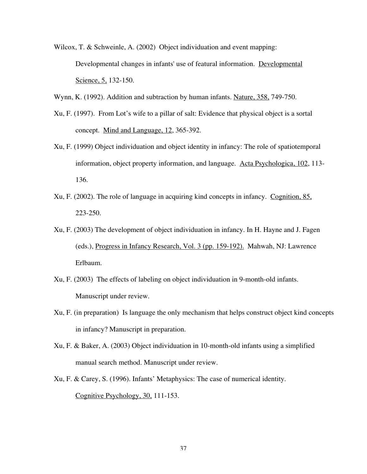Wilcox, T. & Schweinle, A. (2002) Object individuation and event mapping: Developmental changes in infants' use of featural information. Developmental Science, 5, 132-150.

Wynn, K. (1992). Addition and subtraction by human infants. Nature, 358, 749-750.

- Xu, F. (1997). From Lot's wife to a pillar of salt: Evidence that physical object is a sortal concept. Mind and Language, 12, 365-392.
- Xu, F. (1999) Object individuation and object identity in infancy: The role of spatiotemporal information, object property information, and language. Acta Psychologica, 102, 113- 136.
- Xu, F. (2002). The role of language in acquiring kind concepts in infancy. Cognition, 85, 223-250.
- Xu, F. (2003) The development of object individuation in infancy. In H. Hayne and J. Fagen (eds.), Progress in Infancy Research, Vol. 3 (pp. 159-192). Mahwah, NJ: Lawrence Erlbaum.
- Xu, F. (2003) The effects of labeling on object individuation in 9-month-old infants. Manuscript under review.
- Xu, F. (in preparation) Is language the only mechanism that helps construct object kind concepts in infancy? Manuscript in preparation.
- Xu, F. & Baker, A. (2003) Object individuation in 10-month-old infants using a simplified manual search method. Manuscript under review.
- Xu, F. & Carey, S. (1996). Infants' Metaphysics: The case of numerical identity. Cognitive Psychology, 30, 111-153.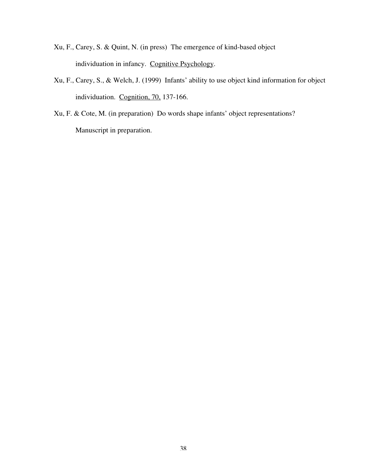- Xu, F., Carey, S. & Quint, N. (in press) The emergence of kind-based object individuation in infancy. Cognitive Psychology.
- Xu, F., Carey, S., & Welch, J. (1999) Infants' ability to use object kind information for object individuation. Cognition, 70, 137-166.
- Xu, F. & Cote, M. (in preparation) Do words shape infants' object representations? Manuscript in preparation.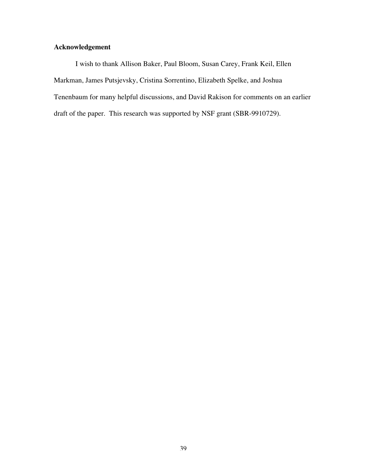# **Acknowledgement**

I wish to thank Allison Baker, Paul Bloom, Susan Carey, Frank Keil, Ellen Markman, James Putsjevsky, Cristina Sorrentino, Elizabeth Spelke, and Joshua Tenenbaum for many helpful discussions, and David Rakison for comments on an earlier draft of the paper. This research was supported by NSF grant (SBR-9910729).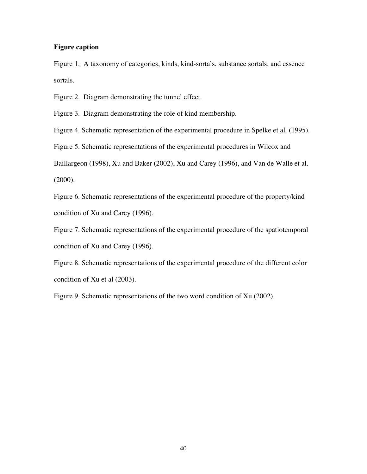## **Figure caption**

Figure 1. A taxonomy of categories, kinds, kind-sortals, substance sortals, and essence sortals.

Figure 2. Diagram demonstrating the tunnel effect.

Figure 3. Diagram demonstrating the role of kind membership.

Figure 4. Schematic representation of the experimental procedure in Spelke et al. (1995).

Figure 5. Schematic representations of the experimental procedures in Wilcox and

Baillargeon (1998), Xu and Baker (2002), Xu and Carey (1996), and Van de Walle et al. (2000).

Figure 6. Schematic representations of the experimental procedure of the property/kind condition of Xu and Carey (1996).

Figure 7. Schematic representations of the experimental procedure of the spatiotemporal condition of Xu and Carey (1996).

Figure 8. Schematic representations of the experimental procedure of the different color condition of Xu et al (2003).

Figure 9. Schematic representations of the two word condition of Xu (2002).